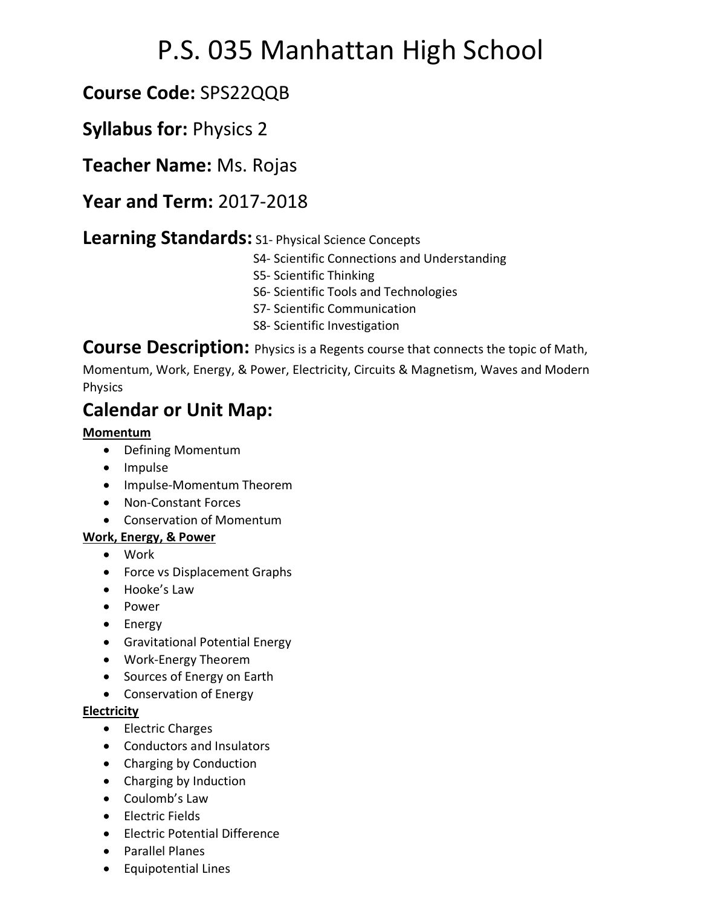# P.S. 035 Manhattan High School

# **Course Code:** SPS22QQB

## **Syllabus for:** Physics 2

**Teacher Name:** Ms. Rojas

### **Year and Term:** 2017-2018

### **Learning Standards:** S1- Physical Science Concepts

- S4- Scientific Connections and Understanding
- S5- Scientific Thinking
- S6- Scientific Tools and Technologies
- S7- Scientific Communication
- S8- Scientific Investigation

**Course Description:** Physics is a Regents course that connects the topic of Math,

Momentum, Work, Energy, & Power, Electricity, Circuits & Magnetism, Waves and Modern Physics

# **Calendar or Unit Map:**

### **Momentum**

- Defining Momentum
- Impulse
- Impulse-Momentum Theorem
- Non-Constant Forces
- Conservation of Momentum

### **Work, Energy, & Power**

- Work
- Force vs Displacement Graphs
- Hooke's Law
- Power
- Energy
- Gravitational Potential Energy
- Work-Energy Theorem
- Sources of Energy on Earth
- Conservation of Energy

### **Electricity**

- Electric Charges
- Conductors and Insulators
- Charging by Conduction
- Charging by Induction
- Coulomb's Law
- Electric Fields
- Electric Potential Difference
- Parallel Planes
- Equipotential Lines